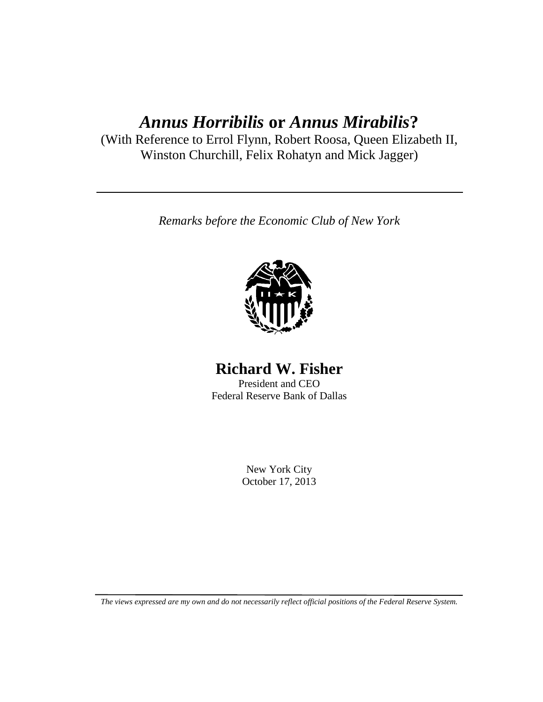# *Annus Horribilis* **or** *Annus Mirabilis***?**

(With Reference to Errol Flynn, Robert Roosa, Queen Elizabeth II, Winston Churchill, Felix Rohatyn and Mick Jagger)

*Remarks before the Economic Club of New York*



# **Richard W. Fisher**

President and CEO Federal Reserve Bank of Dallas

> New York City October 17, 2013

*The views expressed are my own and do not necessarily reflect official positions of the Federal Reserve System.*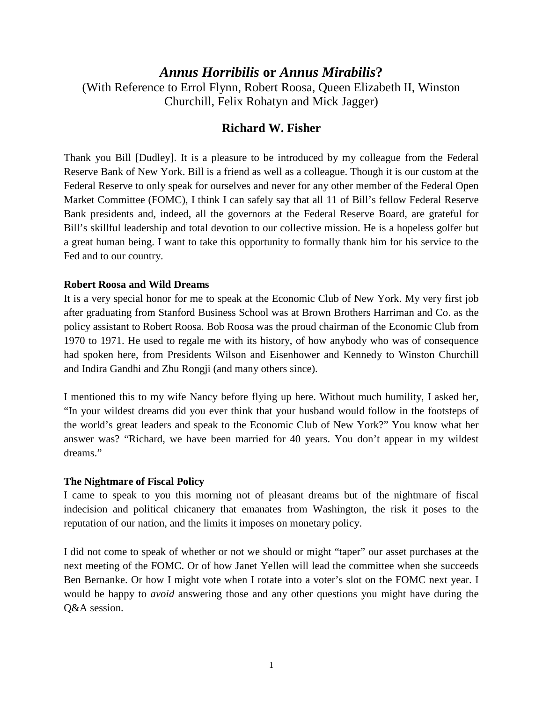## *Annus Horribilis* **or** *Annus Mirabilis***?**

(With Reference to Errol Flynn, Robert Roosa, Queen Elizabeth II, Winston Churchill, Felix Rohatyn and Mick Jagger)

## **Richard W. Fisher**

Thank you Bill [Dudley]. It is a pleasure to be introduced by my colleague from the Federal Reserve Bank of New York. Bill is a friend as well as a colleague. Though it is our custom at the Federal Reserve to only speak for ourselves and never for any other member of the Federal Open Market Committee (FOMC), I think I can safely say that all 11 of Bill's fellow Federal Reserve Bank presidents and, indeed, all the governors at the Federal Reserve Board, are grateful for Bill's skillful leadership and total devotion to our collective mission. He is a hopeless golfer but a great human being. I want to take this opportunity to formally thank him for his service to the Fed and to our country.

#### **Robert Roosa and Wild Dreams**

It is a very special honor for me to speak at the Economic Club of New York. My very first job after graduating from Stanford Business School was at Brown Brothers Harriman and Co. as the policy assistant to Robert Roosa. Bob Roosa was the proud chairman of the Economic Club from 1970 to 1971. He used to regale me with its history, of how anybody who was of consequence had spoken here, from Presidents Wilson and Eisenhower and Kennedy to Winston Churchill and Indira Gandhi and Zhu Rongji (and many others since).

I mentioned this to my wife Nancy before flying up here. Without much humility, I asked her, "In your wildest dreams did you ever think that your husband would follow in the footsteps of the world's great leaders and speak to the Economic Club of New York?" You know what her answer was? "Richard, we have been married for 40 years. You don't appear in my wildest dreams."

#### **The Nightmare of Fiscal Policy**

I came to speak to you this morning not of pleasant dreams but of the nightmare of fiscal indecision and political chicanery that emanates from Washington, the risk it poses to the reputation of our nation, and the limits it imposes on monetary policy.

I did not come to speak of whether or not we should or might "taper" our asset purchases at the next meeting of the FOMC. Or of how Janet Yellen will lead the committee when she succeeds Ben Bernanke. Or how I might vote when I rotate into a voter's slot on the FOMC next year. I would be happy to *avoid* answering those and any other questions you might have during the Q&A session.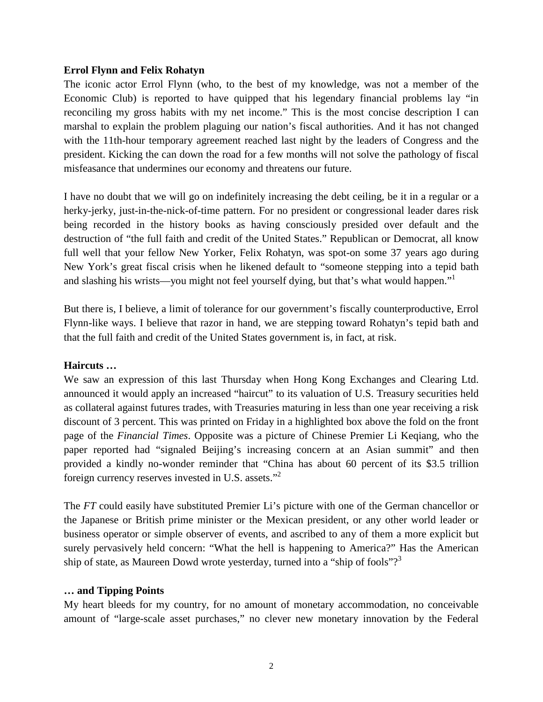#### **Errol Flynn and Felix Rohatyn**

The iconic actor Errol Flynn (who, to the best of my knowledge, was not a member of the Economic Club) is reported to have quipped that his legendary financial problems lay "in reconciling my gross habits with my net income." This is the most concise description I can marshal to explain the problem plaguing our nation's fiscal authorities. And it has not changed with the 11th-hour temporary agreement reached last night by the leaders of Congress and the president. Kicking the can down the road for a few months will not solve the pathology of fiscal misfeasance that undermines our economy and threatens our future.

I have no doubt that we will go on indefinitely increasing the debt ceiling, be it in a regular or a herky-jerky, just-in-the-nick-of-time pattern. For no president or congressional leader dares risk being recorded in the history books as having consciously presided over default and the destruction of "the full faith and credit of the United States." Republican or Democrat, all know full well that your fellow New Yorker, Felix Rohatyn, was spot-on some 37 years ago during New York's great fiscal crisis when he likened default to "someone stepping into a tepid bath and slashing his wrists—you might not feel yourself dying, but that's what would happen."<sup>1</sup>

But there is, I believe, a limit of tolerance for our government's fiscally counterproductive, Errol Flynn-like ways. I believe that razor in hand, we are stepping toward Rohatyn's tepid bath and that the full faith and credit of the United States government is, in fact, at risk.

#### **Haircuts …**

We saw an expression of this last Thursday when Hong Kong Exchanges and Clearing Ltd. announced it would apply an increased "haircut" to its valuation of U.S. Treasury securities held as collateral against futures trades, with Treasuries maturing in less than one year receiving a risk discount of 3 percent. This was printed on Friday in a highlighted box above the fold on the front page of the *Financial Times*. Opposite was a picture of Chinese Premier Li Keqiang, who the paper reported had "signaled Beijing's increasing concern at an Asian summit" and then provided a kindly no-wonder reminder that "China has about 60 percent of its \$3.5 trillion foreign currency reserves invested in U.S. assets."<sup>2</sup>

The *FT* could easily have substituted Premier Li's picture with one of the German chancellor or the Japanese or British prime minister or the Mexican president, or any other world leader or business operator or simple observer of events, and ascribed to any of them a more explicit but surely pervasively held concern: "What the hell is happening to America?" Has the American ship of state, as Maureen Dowd wrote yesterday, turned into a "ship of fools"?<sup>3</sup>

#### **… and Tipping Points**

My heart bleeds for my country, for no amount of monetary accommodation, no conceivable amount of "large-scale asset purchases," no clever new monetary innovation by the Federal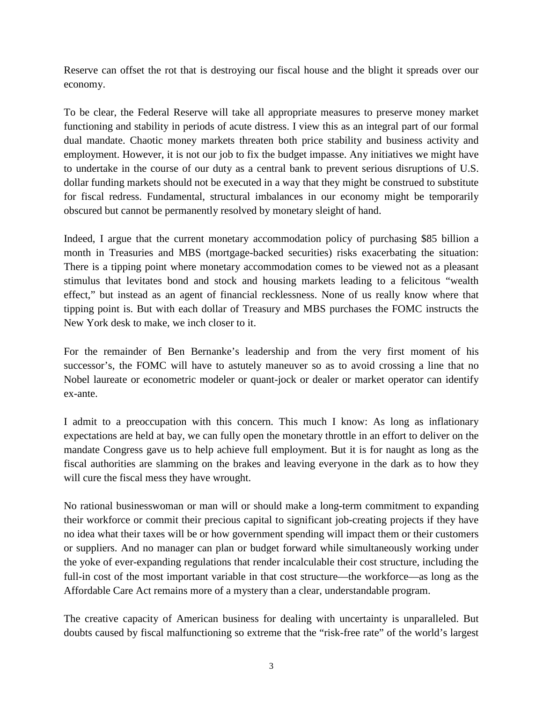Reserve can offset the rot that is destroying our fiscal house and the blight it spreads over our economy.

To be clear, the Federal Reserve will take all appropriate measures to preserve money market functioning and stability in periods of acute distress. I view this as an integral part of our formal dual mandate. Chaotic money markets threaten both price stability and business activity and employment. However, it is not our job to fix the budget impasse. Any initiatives we might have to undertake in the course of our duty as a central bank to prevent serious disruptions of U.S. dollar funding markets should not be executed in a way that they might be construed to substitute for fiscal redress. Fundamental, structural imbalances in our economy might be temporarily obscured but cannot be permanently resolved by monetary sleight of hand.

Indeed, I argue that the current monetary accommodation policy of purchasing \$85 billion a month in Treasuries and MBS (mortgage-backed securities) risks exacerbating the situation: There is a tipping point where monetary accommodation comes to be viewed not as a pleasant stimulus that levitates bond and stock and housing markets leading to a felicitous "wealth effect," but instead as an agent of financial recklessness. None of us really know where that tipping point is. But with each dollar of Treasury and MBS purchases the FOMC instructs the New York desk to make, we inch closer to it.

For the remainder of Ben Bernanke's leadership and from the very first moment of his successor's, the FOMC will have to astutely maneuver so as to avoid crossing a line that no Nobel laureate or econometric modeler or quant-jock or dealer or market operator can identify ex-ante.

I admit to a preoccupation with this concern. This much I know: As long as inflationary expectations are held at bay, we can fully open the monetary throttle in an effort to deliver on the mandate Congress gave us to help achieve full employment. But it is for naught as long as the fiscal authorities are slamming on the brakes and leaving everyone in the dark as to how they will cure the fiscal mess they have wrought.

No rational businesswoman or man will or should make a long-term commitment to expanding their workforce or commit their precious capital to significant job-creating projects if they have no idea what their taxes will be or how government spending will impact them or their customers or suppliers. And no manager can plan or budget forward while simultaneously working under the yoke of ever-expanding regulations that render incalculable their cost structure, including the full-in cost of the most important variable in that cost structure—the workforce—as long as the Affordable Care Act remains more of a mystery than a clear, understandable program.

The creative capacity of American business for dealing with uncertainty is unparalleled. But doubts caused by fiscal malfunctioning so extreme that the "risk-free rate" of the world's largest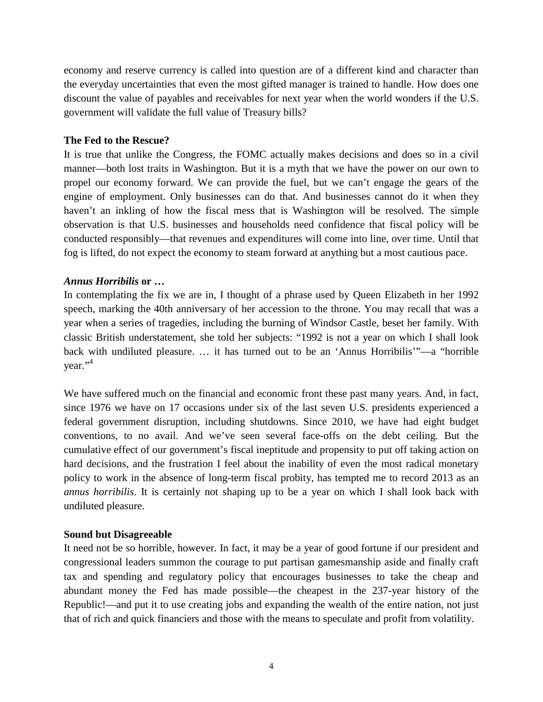economy and reserve currency is called into question are of a different kind and character than the everyday uncertainties that even the most gifted manager is trained to handle. How does one discount the value of payables and receivables for next year when the world wonders if the U.S. government will validate the full value of Treasury bills?

#### **The Fed to the Rescue?**

It is true that unlike the Congress, the FOMC actually makes decisions and does so in a civil manner—both lost traits in Washington. But it is a myth that we have the power on our own to propel our economy forward. We can provide the fuel, but we can't engage the gears of the engine of employment. Only businesses can do that. And businesses cannot do it when they haven't an inkling of how the fiscal mess that is Washington will be resolved. The simple observation is that U.S. businesses and households need confidence that fiscal policy will be conducted responsibly—that revenues and expenditures will come into line, over time. Until that fog is lifted, do not expect the economy to steam forward at anything but a most cautious pace.

#### *Annus Horribilis* **or …**

In contemplating the fix we are in, I thought of a phrase used by Queen Elizabeth in her 1992 speech, marking the 40th anniversary of her accession to the throne. You may recall that was a year when a series of tragedies, including the burning of Windsor Castle, beset her family. With classic British understatement, she told her subjects: "1992 is not a year on which I shall look back with undiluted pleasure. … it has turned out to be an 'Annus Horribilis'"—a "horrible year." 4

We have suffered much on the financial and economic front these past many years. And, in fact, since 1976 we have on 17 occasions under six of the last seven U.S. presidents experienced a federal government disruption, including shutdowns. Since 2010, we have had eight budget conventions, to no avail. And we've seen several face-offs on the debt ceiling. But the cumulative effect of our government's fiscal ineptitude and propensity to put off taking action on hard decisions, and the frustration I feel about the inability of even the most radical monetary policy to work in the absence of long-term fiscal probity, has tempted me to record 2013 as an *annus horribilis*. It is certainly not shaping up to be a year on which I shall look back with undiluted pleasure.

### **Sound but Disagreeable**

It need not be so horrible, however. In fact, it may be a year of good fortune if our president and congressional leaders summon the courage to put partisan gamesmanship aside and finally craft tax and spending and regulatory policy that encourages businesses to take the cheap and abundant money the Fed has made possible—the cheapest in the 237-year history of the Republic!—and put it to use creating jobs and expanding the wealth of the entire nation, not just that of rich and quick financiers and those with the means to speculate and profit from volatility.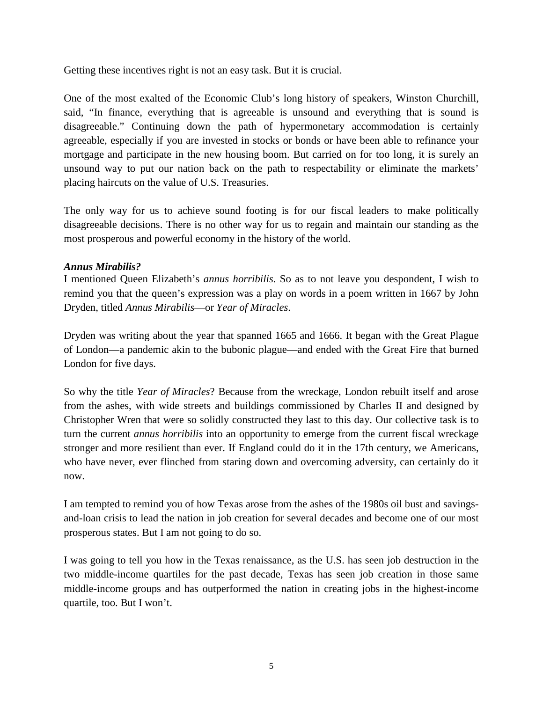Getting these incentives right is not an easy task. But it is crucial.

One of the most exalted of the Economic Club's long history of speakers, Winston Churchill, said, "In finance, everything that is agreeable is unsound and everything that is sound is disagreeable." Continuing down the path of hypermonetary accommodation is certainly agreeable, especially if you are invested in stocks or bonds or have been able to refinance your mortgage and participate in the new housing boom. But carried on for too long, it is surely an unsound way to put our nation back on the path to respectability or eliminate the markets' placing haircuts on the value of U.S. Treasuries.

The only way for us to achieve sound footing is for our fiscal leaders to make politically disagreeable decisions. There is no other way for us to regain and maintain our standing as the most prosperous and powerful economy in the history of the world.

#### *Annus Mirabilis?*

I mentioned Queen Elizabeth's *annus horribilis*. So as to not leave you despondent, I wish to remind you that the queen's expression was a play on words in a poem written in 1667 by John Dryden, titled *Annus Mirabilis*—or *Year of Miracles*.

Dryden was writing about the year that spanned 1665 and 1666. It began with the Great Plague of London—a pandemic akin to the bubonic plague—and ended with the Great Fire that burned London for five days.

So why the title *Year of Miracles*? Because from the wreckage, London rebuilt itself and arose from the ashes, with wide streets and buildings commissioned by Charles II and designed by Christopher Wren that were so solidly constructed they last to this day. Our collective task is to turn the current *annus horribilis* into an opportunity to emerge from the current fiscal wreckage stronger and more resilient than ever. If England could do it in the 17th century, we Americans, who have never, ever flinched from staring down and overcoming adversity, can certainly do it now.

I am tempted to remind you of how Texas arose from the ashes of the 1980s oil bust and savingsand-loan crisis to lead the nation in job creation for several decades and become one of our most prosperous states. But I am not going to do so.

I was going to tell you how in the Texas renaissance, as the U.S. has seen job destruction in the two middle-income quartiles for the past decade, Texas has seen job creation in those same middle-income groups and has outperformed the nation in creating jobs in the highest-income quartile, too. But I won't.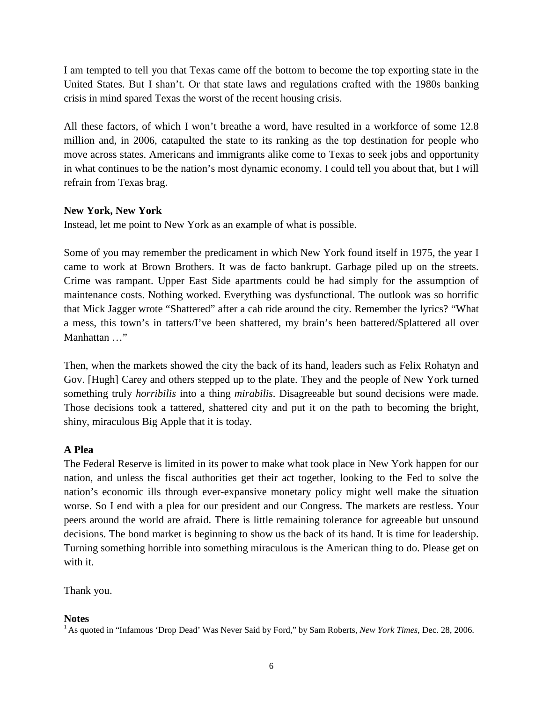I am tempted to tell you that Texas came off the bottom to become the top exporting state in the United States. But I shan't. Or that state laws and regulations crafted with the 1980s banking crisis in mind spared Texas the worst of the recent housing crisis.

All these factors, of which I won't breathe a word, have resulted in a workforce of some 12.8 million and, in 2006, catapulted the state to its ranking as the top destination for people who move across states. Americans and immigrants alike come to Texas to seek jobs and opportunity in what continues to be the nation's most dynamic economy. I could tell you about that, but I will refrain from Texas brag.

#### **New York, New York**

Instead, let me point to New York as an example of what is possible.

Some of you may remember the predicament in which New York found itself in 1975, the year I came to work at Brown Brothers. It was de facto bankrupt. Garbage piled up on the streets. Crime was rampant. Upper East Side apartments could be had simply for the assumption of maintenance costs. Nothing worked. Everything was dysfunctional. The outlook was so horrific that Mick Jagger wrote "Shattered" after a cab ride around the city. Remember the lyrics? "What a mess, this town's in tatters/I've been shattered, my brain's been battered/Splattered all over Manhattan …"

Then, when the markets showed the city the back of its hand, leaders such as Felix Rohatyn and Gov. [Hugh] Carey and others stepped up to the plate. They and the people of New York turned something truly *horribilis* into a thing *mirabilis*. Disagreeable but sound decisions were made. Those decisions took a tattered, shattered city and put it on the path to becoming the bright, shiny, miraculous Big Apple that it is today.

### **A Plea**

The Federal Reserve is limited in its power to make what took place in New York happen for our nation, and unless the fiscal authorities get their act together, looking to the Fed to solve the nation's economic ills through ever-expansive monetary policy might well make the situation worse. So I end with a plea for our president and our Congress. The markets are restless. Your peers around the world are afraid. There is little remaining tolerance for agreeable but unsound decisions. The bond market is beginning to show us the back of its hand. It is time for leadership. Turning something horrible into something miraculous is the American thing to do. Please get on with it.

Thank you.

**Notes**<br><sup>1</sup> As quoted in "Infamous 'Drop Dead' Was Never Said by Ford," by Sam Roberts, *New York Times*, Dec. 28, 2006.